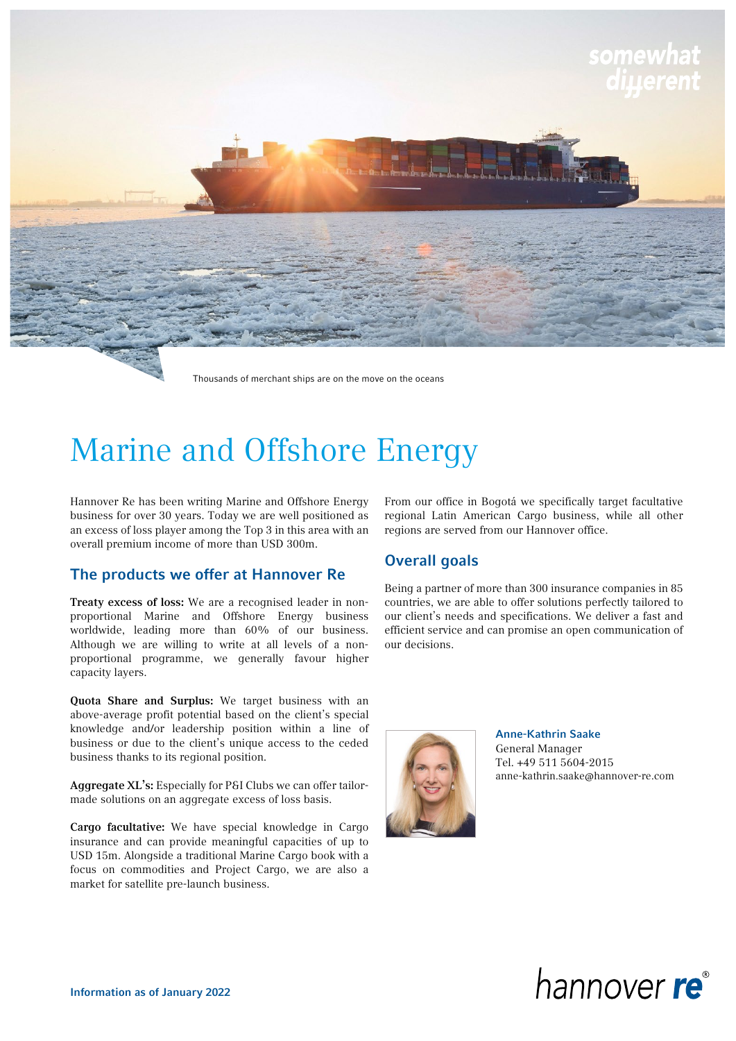

Thousands of merchant ships are on the move on the oceans

## Marine and Offshore Energy

Hannover Re has been writing Marine and Offshore Energy business for over 30 years. Today we are well positioned as an excess of loss player among the Top 3 in this area with an overall premium income of more than USD 300m.

## The products we offer at Hannover Re

Treaty excess of loss: We are a recognised leader in nonproportional Marine and Offshore Energy business worldwide, leading more than 60% of our business. Although we are willing to write at all levels of a nonproportional programme, we generally favour higher capacity layers.

Quota Share and Surplus: We target business with an above-average profit potential based on the client's special knowledge and/or leadership position within a line of business or due to the client's unique access to the ceded business thanks to its regional position.

Aggregate XL's: Especially for P&I Clubs we can offer tailormade solutions on an aggregate excess of loss basis.

Cargo facultative: We have special knowledge in Cargo insurance and can provide meaningful capacities of up to USD 15m. Alongside a traditional Marine Cargo book with a focus on commodities and Project Cargo, we are also a market for satellite pre-launch business.

From our office in Bogotá we specifically target facultative regional Latin American Cargo business, while all other regions are served from our Hannover office.

## Overall goals

Being a partner of more than 300 insurance companies in 85 countries, we are able to offer solutions perfectly tailored to our client's needs and specifications. We deliver a fast and efficient service and can promise an open communication of our decisions.



Anne-Kathrin Saake General Manager Tel. +49 511 5604-2015 anne-kathrin.saake@hannover-re.com